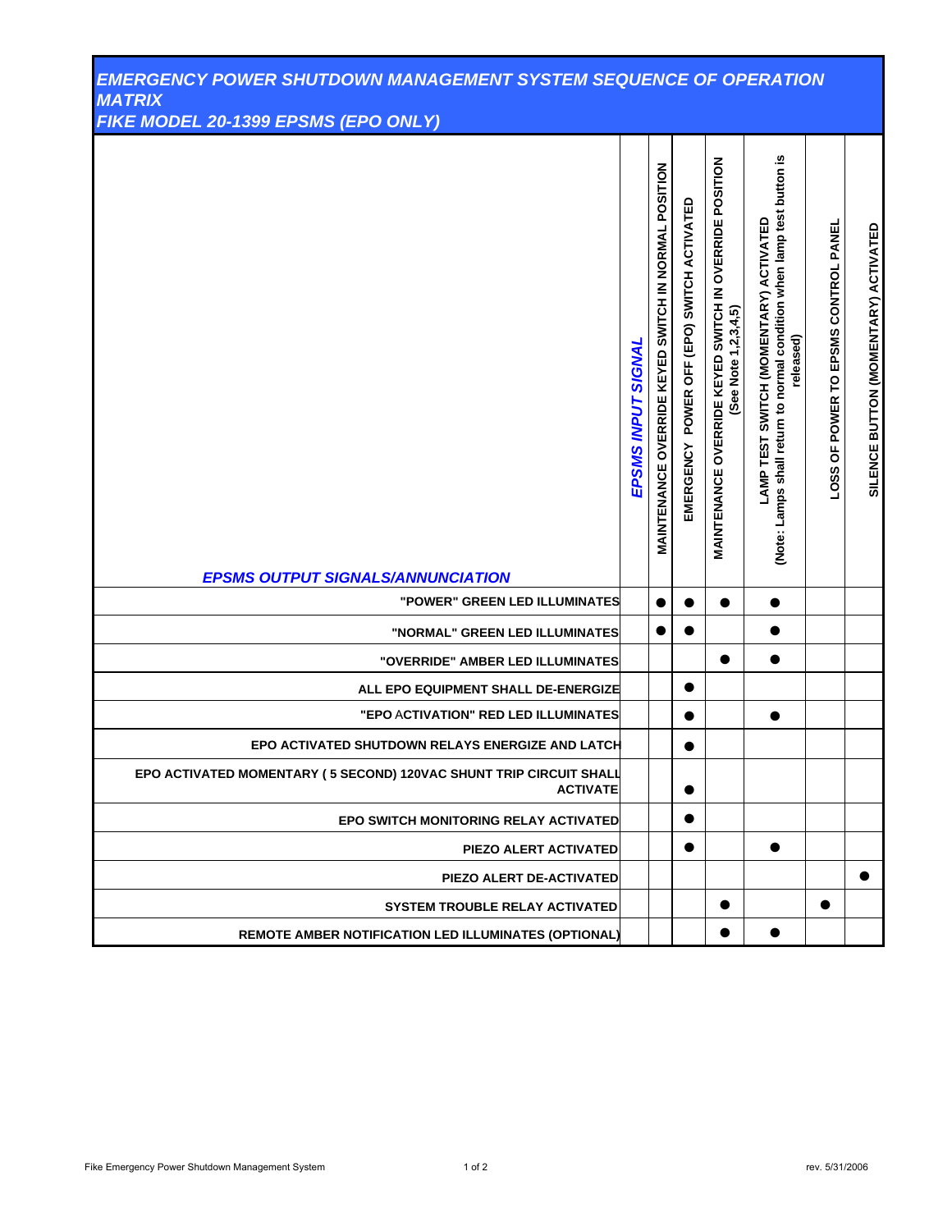| <b>EMERGENCY POWER SHUTDOWN MANAGEMENT SYSTEM SEQUENCE OF OPERATION</b><br><b>MATRIX</b><br>FIKE MODEL 20-1399 EPSMS (EPO ONLY) |                    |                                                      |                                            |                                                                                |                                                                                                                                      |                                      |                                      |
|---------------------------------------------------------------------------------------------------------------------------------|--------------------|------------------------------------------------------|--------------------------------------------|--------------------------------------------------------------------------------|--------------------------------------------------------------------------------------------------------------------------------------|--------------------------------------|--------------------------------------|
| <b>EPSMS OUTPUT SIGNALS/ANNUNCIATION</b>                                                                                        | EPSMS INPUT SIGNAL | MAINTENANCE OVERRIDE KEYED SWITCH IN NORMAL POSITION | EMERGENCY POWER OFF (EPO) SWITCH ACTIVATED | MAINTENANCE OVERRIDE KEYED SWITCH IN OVERRIDE POSITION<br>(See Note 1,2,3,4,5) | (Note: Lamps shall return to normal condition when lamp test button is<br><b>LAMP TEST SWITCH (MOMENTARY) ACTIVATED</b><br>released) | LOSS OF POWER TO EPSMS CONTROL PANEL | SILENCE BUTTON (MOMENTARY) ACTIVATED |
| "POWER" GREEN LED ILLUMINATES                                                                                                   |                    |                                                      |                                            |                                                                                | 0                                                                                                                                    |                                      |                                      |
| "NORMAL" GREEN LED ILLUMINATES                                                                                                  |                    |                                                      |                                            |                                                                                | ●                                                                                                                                    |                                      |                                      |
| "OVERRIDE" AMBER LED ILLUMINATES                                                                                                |                    |                                                      |                                            |                                                                                | $\bullet$                                                                                                                            |                                      |                                      |
| ALL EPO EQUIPMENT SHALL DE-ENERGIZE                                                                                             |                    |                                                      | ●                                          |                                                                                |                                                                                                                                      |                                      |                                      |
| "EPO ACTIVATION" RED LED ILLUMINATES                                                                                            |                    |                                                      | $\bullet$                                  |                                                                                | $\bullet$                                                                                                                            |                                      |                                      |
| EPO ACTIVATED SHUTDOWN RELAYS ENERGIZE AND LATCH                                                                                |                    |                                                      |                                            |                                                                                |                                                                                                                                      |                                      |                                      |
| EPO ACTIVATED MOMENTARY (5 SECOND) 120VAC SHUNT TRIP CIRCUIT SHALL<br><b>ACTIVATE</b>                                           |                    |                                                      | $\bullet$                                  |                                                                                |                                                                                                                                      |                                      |                                      |
| EPO SWITCH MONITORING RELAY ACTIVATED                                                                                           |                    |                                                      | $\bullet$                                  |                                                                                |                                                                                                                                      |                                      |                                      |
| PIEZO ALERT ACTIVATED                                                                                                           |                    |                                                      | $\bullet$                                  |                                                                                |                                                                                                                                      |                                      |                                      |
| PIEZO ALERT DE-ACTIVATED                                                                                                        |                    |                                                      |                                            |                                                                                |                                                                                                                                      |                                      | $\bullet$                            |
| <b>SYSTEM TROUBLE RELAY ACTIVATED</b>                                                                                           |                    |                                                      |                                            |                                                                                |                                                                                                                                      |                                      |                                      |
| REMOTE AMBER NOTIFICATION LED ILLUMINATES (OPTIONAL)                                                                            |                    |                                                      |                                            |                                                                                |                                                                                                                                      |                                      |                                      |